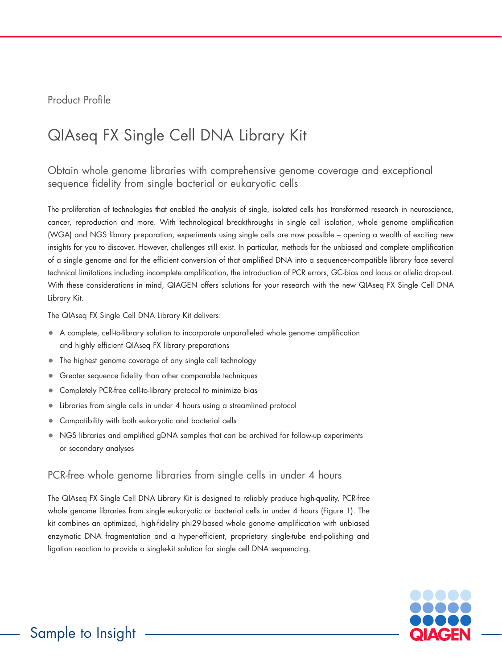Product Profile

# QIAseq FX Single Cell DNA Library Kit

Obtain whole genome libraries with comprehensive genome coverage and exceptional sequence fidelity from single bacterial or eukaryotic cells

The proliferation of technologies that enabled the analysis of single, isolated cells has transformed research in neuroscience, cancer, reproduction and more. With technological breakthroughs in single cell isolation, whole genome amplification (WGA) and NGS library preparation, experiments using single cells are now possible – opening a wealth of exciting new insights for you to discover. However, challenges still exist. In particular, methods for the unbiased and complete amplification of a single genome and for the efficient conversion of that amplified DNA into a sequencer-compatible library face several technical limitations including incomplete amplification, the introduction of PCR errors, GC-bias and locus or allelic drop-out. With these considerations in mind, QIAGEN offers solutions for your research with the new QIAseq FX Single Cell DNA Library Kit.

The QIAseq FX Single Cell DNA Library Kit delivers:

- A complete, cell-to-library solution to incorporate unparalleled whole genome amplification and highly efficient QIAseq FX library preparations
- The highest genome coverage of any single cell technology
- Greater sequence fidelity than other comparable techniques
- Completely PCR-free cell-to-library protocol to minimize bias
- Libraries from single cells in under 4 hours using a streamlined protocol
- Compatibility with both eukaryotic and bacterial cells
- NGS libraries and amplified gDNA samples that can be archived for follow-up experiments or secondary analyses

#### PCR-free whole genome libraries from single cells in under 4 hours

The QIAseq FX Single Cell DNA Library Kit is designed to reliably produce high-quality, PCR-free whole genome libraries from single eukaryotic or bacterial cells in under 4 hours (Figure 1). The kit combines an optimized, high-fidelity phi29-based whole genome amplification with unbiased enzymatic DNA fragmentation and a hyper-efficient, proprietary single-tube end-polishing and ligation reaction to provide a single-kit solution for single cell DNA sequencing.

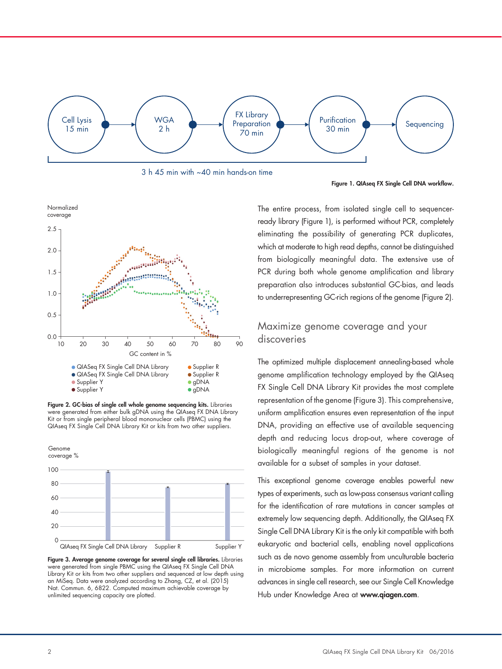

3 h 45 min with ~40 min hands-on time

Figure 1. QIAseq FX Single Cell DNA workflow.



Figure 2. GC-bias of single cell whole genome sequencing kits. Libraries were generated from either bulk gDNA using the QIAseq FX DNA Library Kit or from single peripheral blood mononuclear cells (PBMC) using the QIAseq FX Single Cell DNA Library Kit or kits from two other suppliers.



Figure 3. Average genome coverage for several single cell libraries. Libraries were generated from single PBMC using the QIAseq FX Single Cell DNA Library Kit or kits from two other suppliers and sequenced at low depth using an MiSeq. Data were analyzed according to Zhang, CZ, et al. (2015) Nat. Commun. 6, 6822. Computed maximum achievable coverage by unlimited sequencing capacity are plotted.

The entire process, from isolated single cell to sequencerready library (Figure 1), is performed without PCR, completely eliminating the possibility of generating PCR duplicates, which at moderate to high read depths, cannot be distinguished from biologically meaningful data. The extensive use of PCR during both whole genome amplification and library preparation also introduces substantial GC-bias, and leads to underrepresenting GC-rich regions of the genome (Figure 2).

#### Maximize genome coverage and your discoveries

The optimized multiple displacement annealing-based whole genome amplification technology employed by the QIAseq FX Single Cell DNA Library Kit provides the most complete representation of the genome (Figure 3). This comprehensive, uniform amplification ensures even representation of the input DNA, providing an effective use of available sequencing depth and reducing locus drop-out, where coverage of biologically meaningful regions of the genome is not available for a subset of samples in your dataset.

This exceptional genome coverage enables powerful new types of experiments, such as low-pass consensus variant calling for the identification of rare mutations in cancer samples at extremely low sequencing depth. Additionally, the QIAseq FX Single Cell DNA Library Kit is the only kit compatible with both eukaryotic and bacterial cells, enabling novel applications such as de novo genome assembly from unculturable bacteria in microbiome samples. For more information on current advances in single cell research, see our Single Cell Knowledge Hub under Knowledge Area at www.qiagen.com.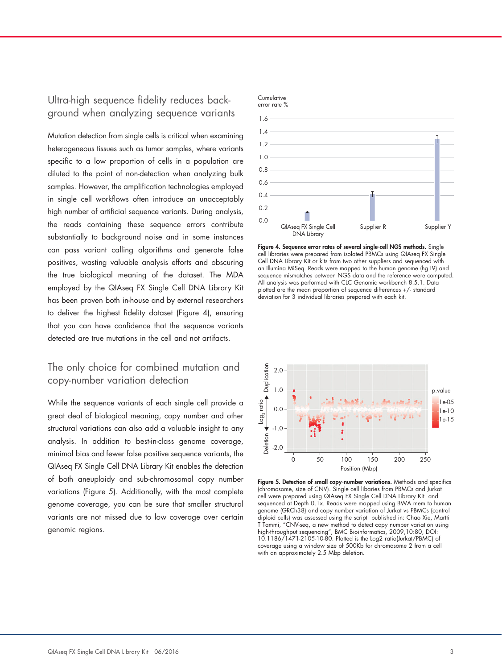## Ultra-high sequence fidelity reduces background when analyzing sequence variants

Mutation detection from single cells is critical when examining heterogeneous tissues such as tumor samples, where variants specific to a low proportion of cells in a population are diluted to the point of non-detection when analyzing bulk samples. However, the amplification technologies employed in single cell workflows often introduce an unacceptably high number of artificial sequence variants. During analysis, the reads containing these sequence errors contribute substantially to background noise and in some instances can pass variant calling algorithms and generate false positives, wasting valuable analysis efforts and obscuring the true biological meaning of the dataset. The MDA employed by the QIAseq FX Single Cell DNA Library Kit has been proven both in-house and by external researchers to deliver the highest fidelity dataset (Figure 4), ensuring that you can have confidence that the sequence variants detected are true mutations in the cell and not artifacts.

### The only choice for combined mutation and copy-number variation detection

While the sequence variants of each single cell provide a great deal of biological meaning, copy number and other structural variations can also add a valuable insight to any analysis. In addition to best-in-class genome coverage, minimal bias and fewer false positive sequence variants, the QIAseq FX Single Cell DNA Library Kit enables the detection of both aneuploidy and sub-chromosomal copy number variations (Figure 5). Additionally, with the most complete genome coverage, you can be sure that smaller structural variants are not missed due to low coverage over certain genomic regions.



Figure 4. Sequence error rates of several single-cell NGS methods. Single cell libraries were prepared from isolated PBMCs using QIAseq FX Single Cell DNA Library Kit or kits from two other suppliers and sequenced with an Illumina MiSeq. Reads were mapped to the human genome (hg19) and sequence mismatches between NGS data and the reference were computed. All analysis was performed with CLC Genomic workbench 8.5.1. Data plotted are the mean proportion of sequence differences +/- standard deviation for 3 individual libraries prepared with each kit.



Figure 5. Detection of small copy-number variations. Methods and specifics (chromosome, size of CNV). Single cell libaries from PBMCs and Jurkat cell were prepared using QIAseq FX Single Cell DNA Library Kit and sequenced at Depth 0.1x. Reads were mapped using BWA mem to human genome (GRCh38) and copy number variation of Jurkat vs PBMCs (control diploid cells) was assessed using the script published in: Chao Xie, Martti T Tammi, "CNV-seq, a new method to detect copy number variation using high-throughput sequencing", BMC Bioinformatics, 2009,10:80, DOI: 10.1186/1471-2105-10-80. Plotted is the Log2 ratio(Jurkat/PBMC) of coverage using a window size of 500Kb for chromosome 2 from a cell with an approximately 2.5 Mbp deletion.